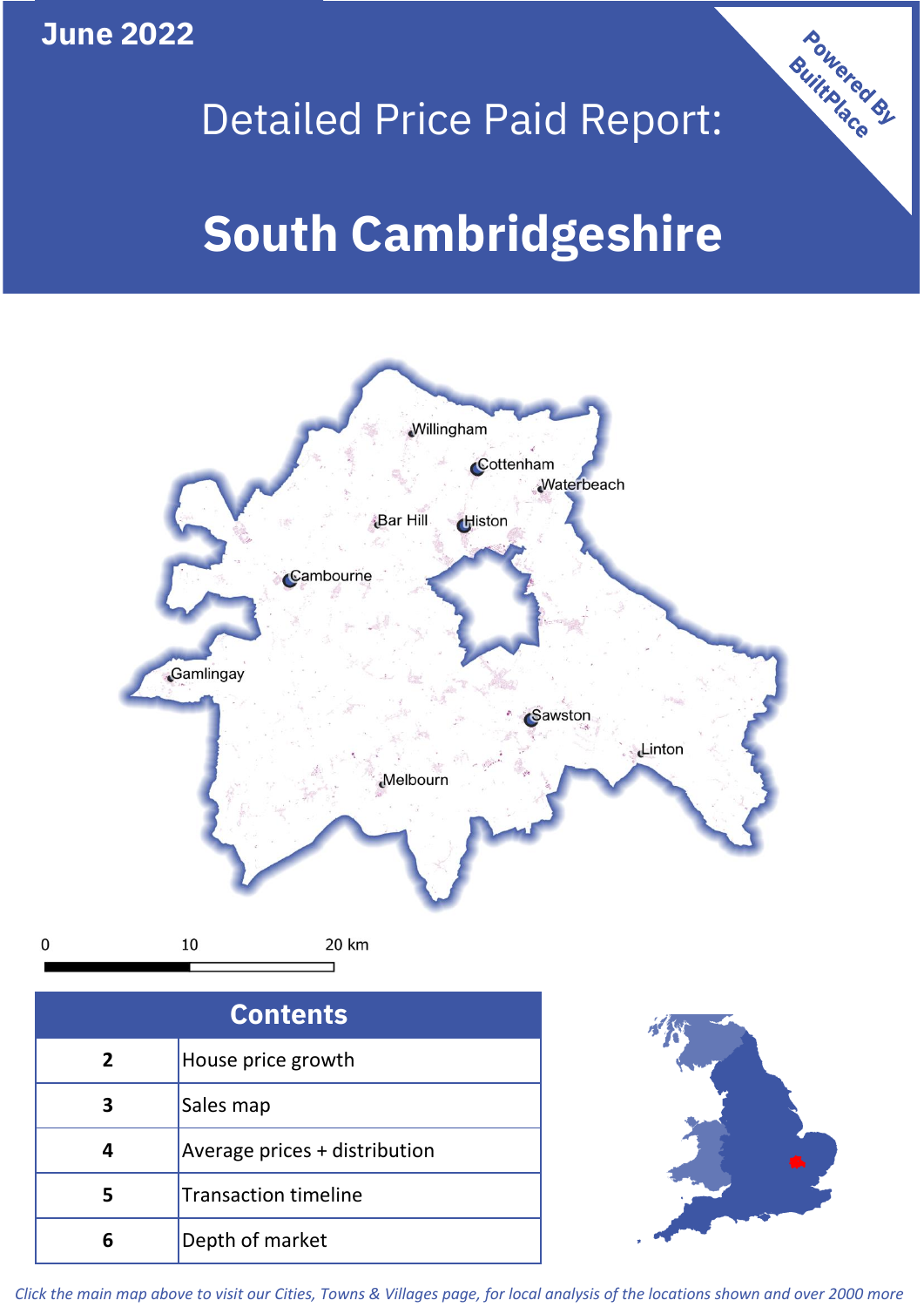**June 2022**

 $\mathbf 0$ 

# Powered By

# Detailed Price Paid Report:

# **South Cambridgeshire**



| <b>Contents</b> |                               |  |  |
|-----------------|-------------------------------|--|--|
| $\overline{2}$  | House price growth            |  |  |
| 3               | Sales map                     |  |  |
|                 | Average prices + distribution |  |  |
|                 | <b>Transaction timeline</b>   |  |  |
|                 | Depth of market               |  |  |



*Click the main map above to visit our Cities, Towns & Villages page, for local analysis of the locations shown and over 2000 more*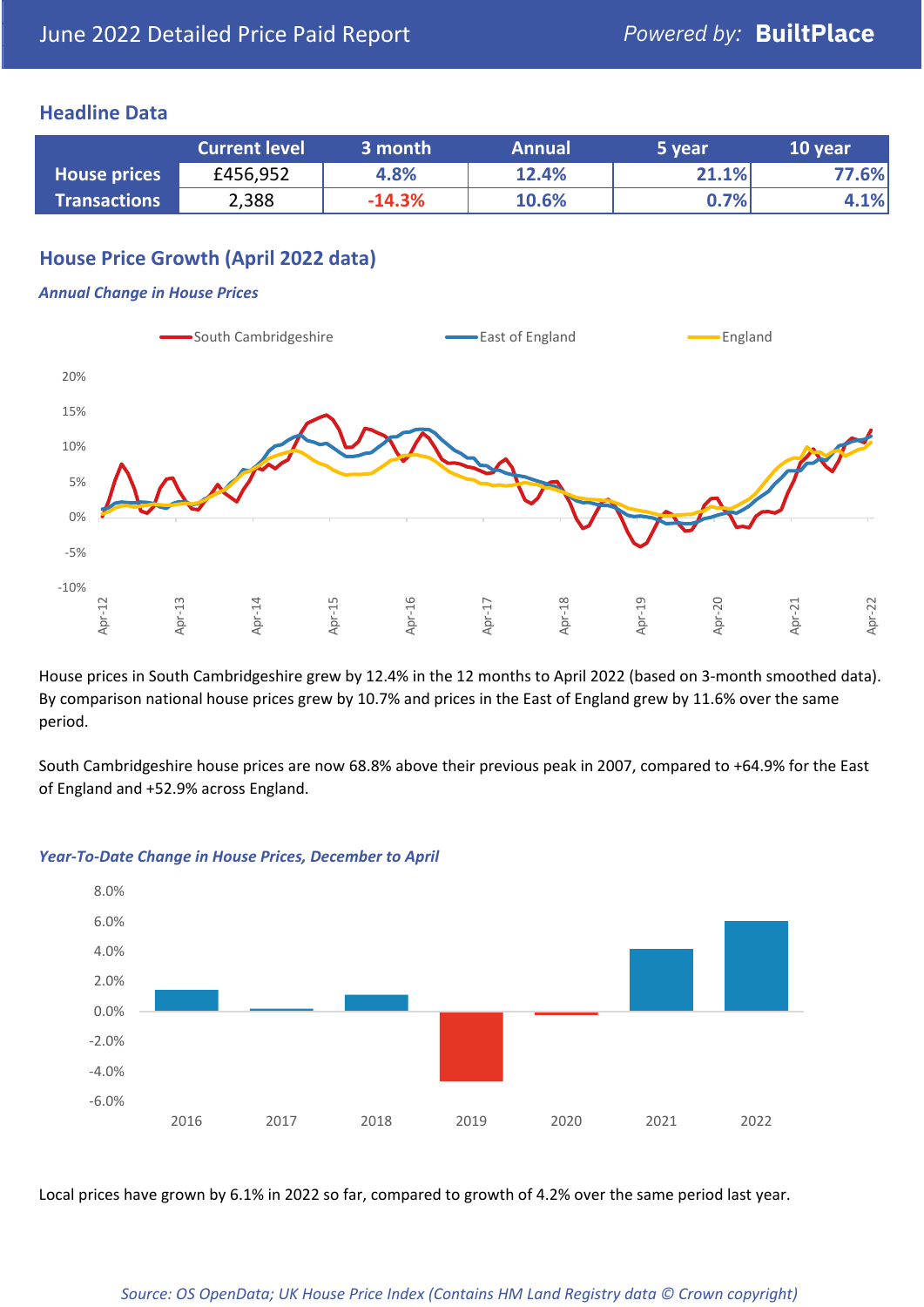#### **Headline Data**

|                     | <b>Current level</b> | 3 month  | <b>Annual</b> | '5 year | 10 year |
|---------------------|----------------------|----------|---------------|---------|---------|
| <b>House prices</b> | £456,952             | 4.8%     | 12.4%         | 21.1%   | 77.6%   |
| <b>Transactions</b> | 2,388                | $-14.3%$ | 10.6%         | $0.7\%$ | 4.1%    |

# **House Price Growth (April 2022 data)**

#### *Annual Change in House Prices*



House prices in South Cambridgeshire grew by 12.4% in the 12 months to April 2022 (based on 3-month smoothed data). By comparison national house prices grew by 10.7% and prices in the East of England grew by 11.6% over the same period.

South Cambridgeshire house prices are now 68.8% above their previous peak in 2007, compared to +64.9% for the East of England and +52.9% across England.



#### *Year-To-Date Change in House Prices, December to April*

Local prices have grown by 6.1% in 2022 so far, compared to growth of 4.2% over the same period last year.

#### *Source: OS OpenData; UK House Price Index (Contains HM Land Registry data © Crown copyright)*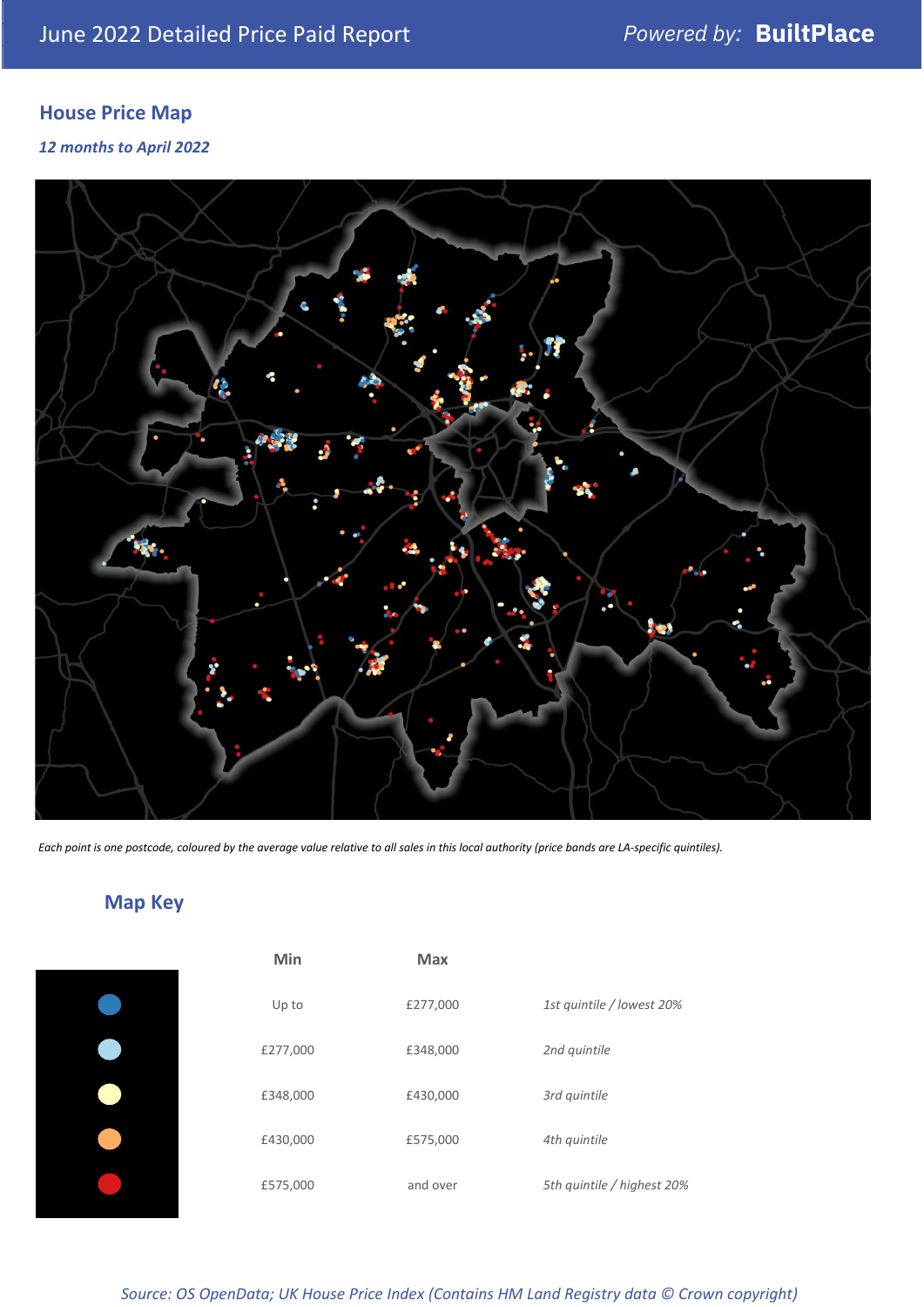# **House Price Map**

*12 months to April 2022*



*Each point is one postcode, coloured by the average value relative to all sales in this local authority (price bands are LA-specific quintiles).*

# **Map Key**

| Min      |
|----------|
| Up to    |
| £277,000 |
| £348,000 |
| £430,000 |
| £575,000 |
|          |

| Min      | Max      |                            |
|----------|----------|----------------------------|
| Up to    | £277,000 | 1st quintile / lowest 20%  |
| £277,000 | £348,000 | 2nd quintile               |
| £348,000 | £430,000 | 3rd quintile               |
| £430,000 | £575,000 | 4th quintile               |
| £575,000 | and over | 5th quintile / highest 20% |

*Source: OS OpenData; UK House Price Index (Contains HM Land Registry data © Crown copyright)*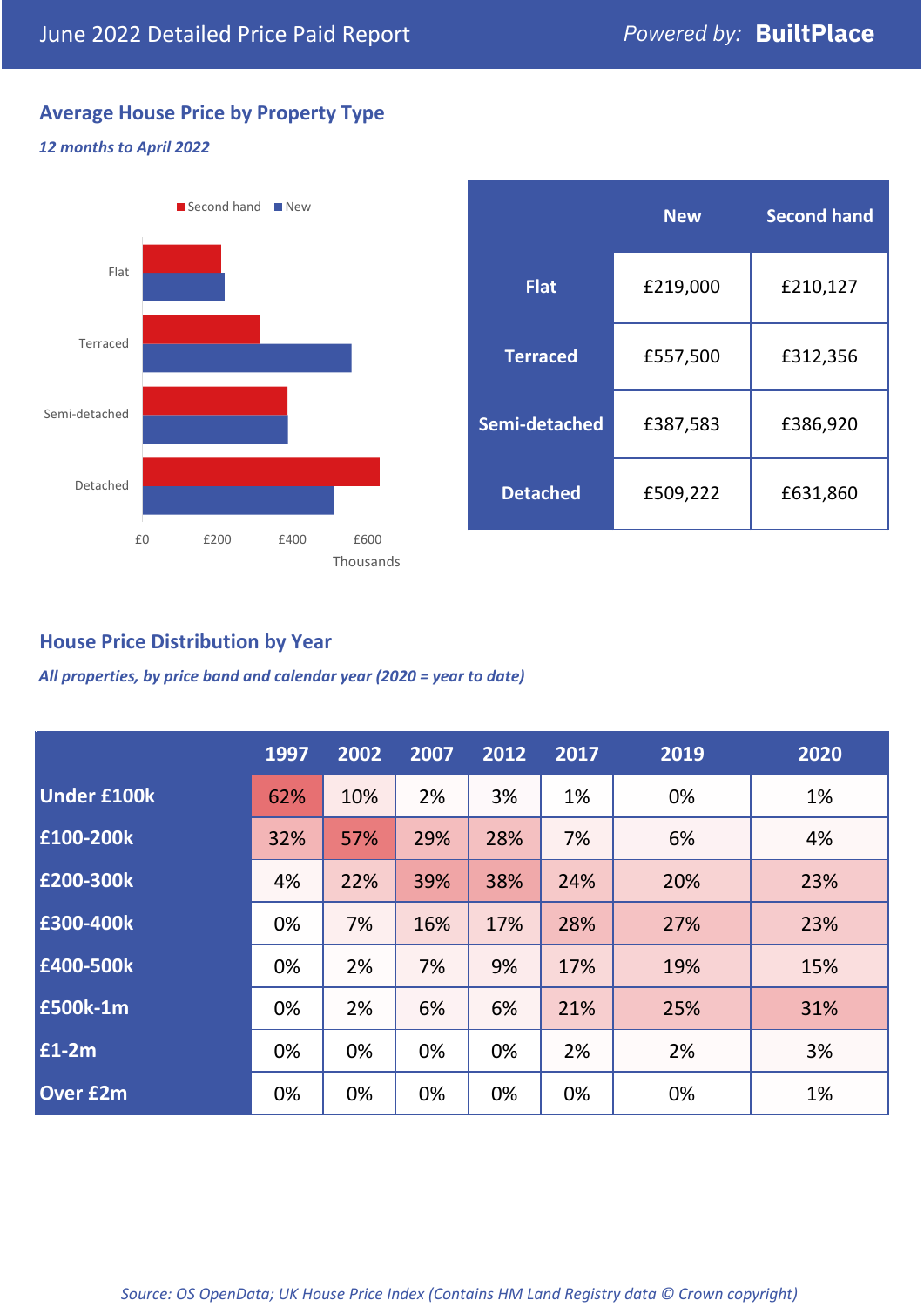# **Average House Price by Property Type**

#### *12 months to April 2022*



|                 | <b>New</b> | <b>Second hand</b> |  |  |
|-----------------|------------|--------------------|--|--|
| <b>Flat</b>     | £219,000   | £210,127           |  |  |
| <b>Terraced</b> | £557,500   | £312,356           |  |  |
| Semi-detached   | £387,583   | £386,920           |  |  |
| <b>Detached</b> | £509,222   | £631,860           |  |  |

## **House Price Distribution by Year**

*All properties, by price band and calendar year (2020 = year to date)*

|                    | 1997 | 2002 | 2007 | 2012 | 2017 | 2019 | 2020 |
|--------------------|------|------|------|------|------|------|------|
| <b>Under £100k</b> | 62%  | 10%  | 2%   | 3%   | 1%   | 0%   | 1%   |
| £100-200k          | 32%  | 57%  | 29%  | 28%  | 7%   | 6%   | 4%   |
| E200-300k          | 4%   | 22%  | 39%  | 38%  | 24%  | 20%  | 23%  |
| £300-400k          | 0%   | 7%   | 16%  | 17%  | 28%  | 27%  | 23%  |
| £400-500k          | 0%   | 2%   | 7%   | 9%   | 17%  | 19%  | 15%  |
| £500k-1m           | 0%   | 2%   | 6%   | 6%   | 21%  | 25%  | 31%  |
| £1-2m              | 0%   | 0%   | 0%   | 0%   | 2%   | 2%   | 3%   |
| <b>Over £2m</b>    | 0%   | 0%   | 0%   | 0%   | 0%   | 0%   | 1%   |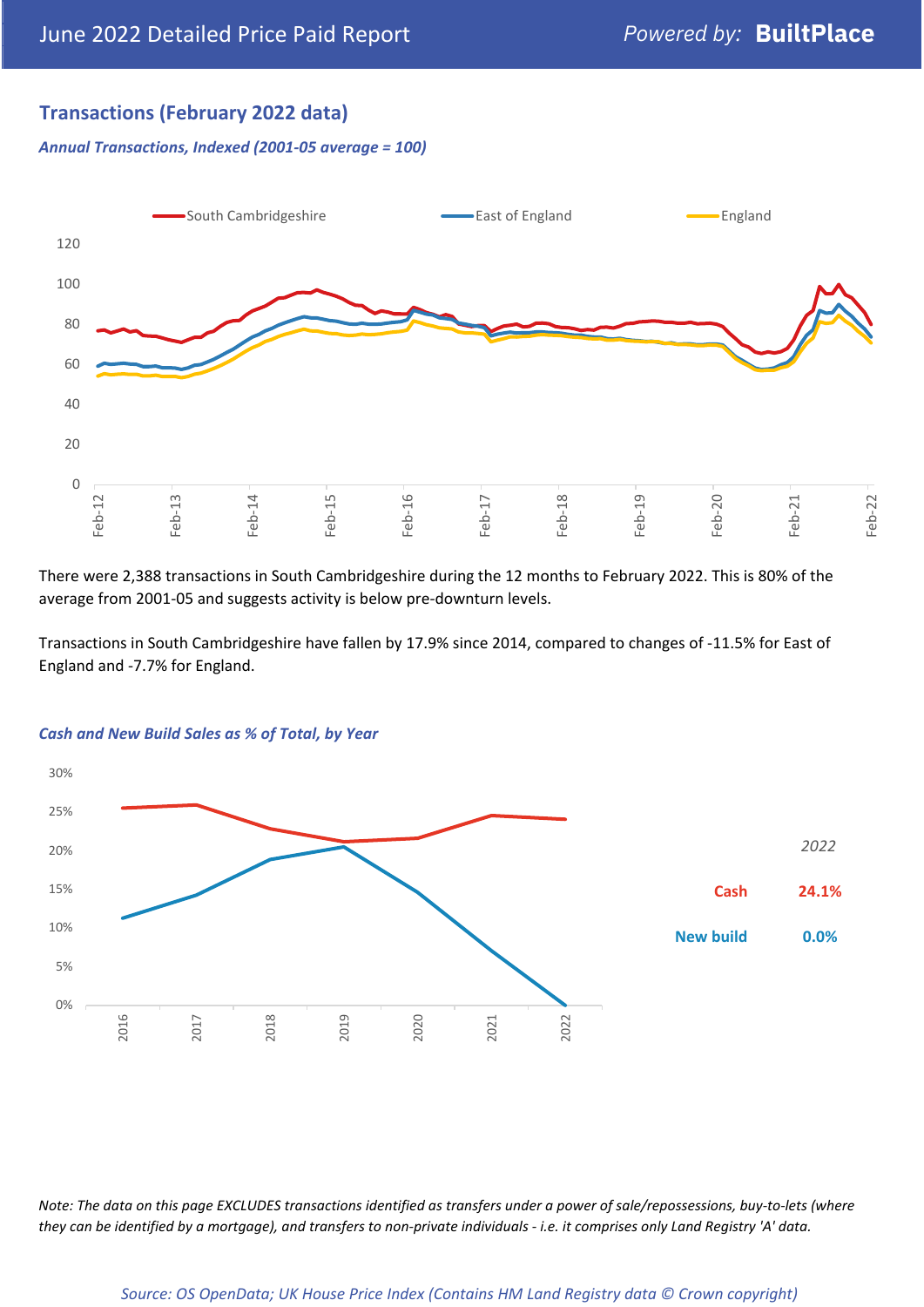# **Transactions (February 2022 data)**

*Annual Transactions, Indexed (2001-05 average = 100)*



There were 2,388 transactions in South Cambridgeshire during the 12 months to February 2022. This is 80% of the average from 2001-05 and suggests activity is below pre-downturn levels.

Transactions in South Cambridgeshire have fallen by 17.9% since 2014, compared to changes of -11.5% for East of England and -7.7% for England.



#### *Cash and New Build Sales as % of Total, by Year*

*Note: The data on this page EXCLUDES transactions identified as transfers under a power of sale/repossessions, buy-to-lets (where they can be identified by a mortgage), and transfers to non-private individuals - i.e. it comprises only Land Registry 'A' data.*